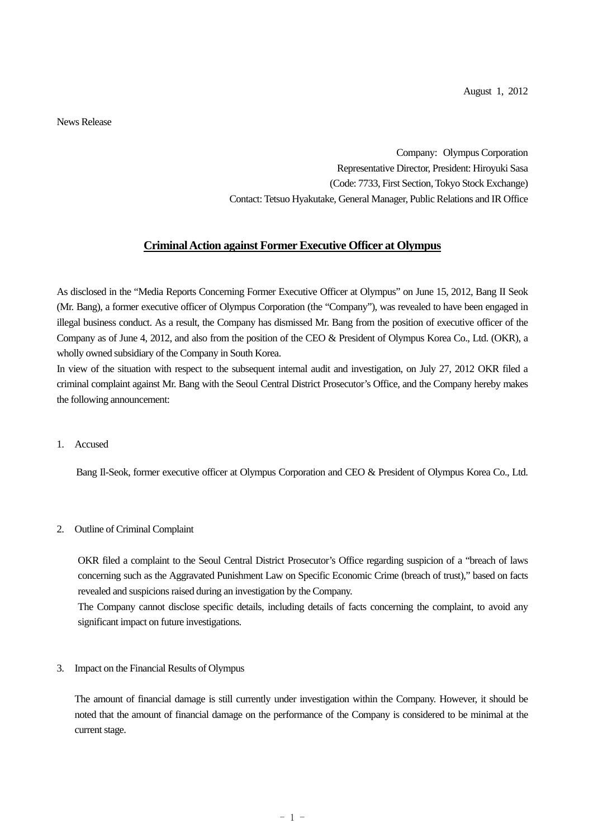News Release

Company: Olympus Corporation Representative Director, President: Hiroyuki Sasa (Code: 7733, First Section, Tokyo Stock Exchange) Contact: Tetsuo Hyakutake, General Manager, Public Relations and IR Office

## **Criminal Action against Former Executive Officer at Olympus**

As disclosed in the "Media Reports Concerning Former Executive Officer at Olympus" on June 15, 2012, Bang II Seok (Mr. Bang), a former executive officer of Olympus Corporation (the "Company"), was revealed to have been engaged in illegal business conduct. As a result, the Company has dismissed Mr. Bang from the position of executive officer of the Company as of June 4, 2012, and also from the position of the CEO & President of Olympus Korea Co., Ltd. (OKR), a wholly owned subsidiary of the Company in South Korea.

In view of the situation with respect to the subsequent internal audit and investigation, on July 27, 2012 OKR filed a criminal complaint against Mr. Bang with the Seoul Central District Prosecutor's Office, and the Company hereby makes the following announcement:

1. Accused

Bang Il-Seok, former executive officer at Olympus Corporation and CEO & President of Olympus Korea Co., Ltd.

2. Outline of Criminal Complaint

OKR filed a complaint to the Seoul Central District Prosecutor's Office regarding suspicion of a "breach of laws concerning such as the Aggravated Punishment Law on Specific Economic Crime (breach of trust)," based on facts revealed and suspicions raised during an investigation by the Company.

The Company cannot disclose specific details, including details of facts concerning the complaint, to avoid any significant impact on future investigations.

3. Impact on the Financial Results of Olympus

The amount of financial damage is still currently under investigation within the Company. However, it should be noted that the amount of financial damage on the performance of the Company is considered to be minimal at the current stage.